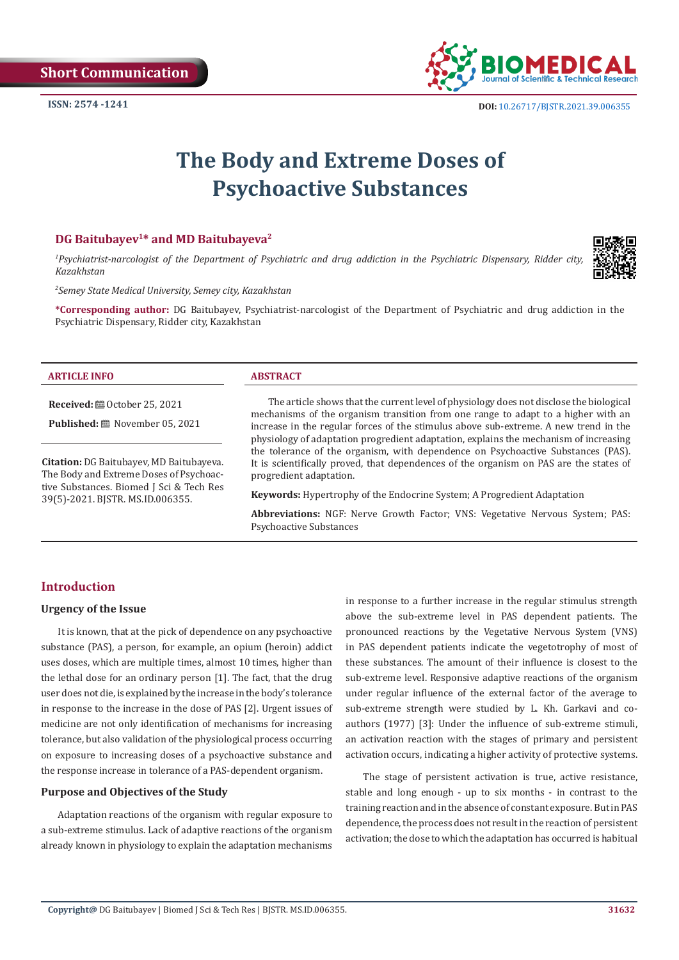

# **The Body and Extreme Doses of Psychoactive Substances**

#### **DG Baitubayеv1\* and MD Baitubayeva2**

*1 Psychiatrist-narcologist of the Department of Psychiatric and drug addiction in the Psychiatric Dispensary, Ridder city, Kazakhstan*

*2 Semey State Medical University, Semey city, Kazakhstan*

**\*Corresponding author:** DG Baitubayеv, Psychiatrist-narcologist of the Department of Psychiatric and drug addiction in the Psychiatric Dispensary, Ridder city, Kazakhstan

#### **ARTICLE INFO ABSTRACT**

**Received:** ■ October 25, 2021

**Published:** November 05, 2021

**Citation:** DG Baitubayеv, MD Baitubayeva. The Body and Extreme Doses of Psychoactive Substances. Biomed J Sci & Tech Res 39(5)-2021. BJSTR. MS.ID.006355.

The article shows that the current level of physiology does not disclose the biological mechanisms of the organism transition from one range to adapt to a higher with an increase in the regular forces of the stimulus above sub-extreme. A new trend in the physiology of adaptation progredient adaptation, explains the mechanism of increasing the tolerance of the organism, with dependence on Psychoactive Substances (PAS). It is scientifically proved, that dependences of the organism on PAS are the states of progredient adaptation.

**Keywords:** Hypertrophy of the Endocrine System; A Progredient Adaptation

**Abbreviations:** NGF: Nerve Growth Factor; VNS: Vegetative Nervous System; PAS: Psychoactive Substances

# **Introduction**

#### **Urgency of the Issue**

It is known, that at the pick of dependence on any psychoactive substance (PAS), a person, for example, an opium (heroin) addict uses doses, which are multiple times, almost 10 times, higher than the lethal dose for an ordinary person [1]. The fact, that the drug user does not die, is explained by the increase in the body's tolerance in response to the increase in the dose of PAS [2]. Urgent issues of medicine are not only identification of mechanisms for increasing tolerance, but also validation of the physiological process occurring on exposure to increasing doses of a psychoactive substance and the response increase in tolerance of a PAS-dependent organism.

#### **Purpose and Objectives of the Study**

Adaptation reactions of the organism with regular exposure to a sub-extreme stimulus. Lack of adaptive reactions of the organism already known in physiology to explain the adaptation mechanisms in response to a further increase in the regular stimulus strength above the sub-extreme level in PAS dependent patients. The pronounced reactions by the Vegetative Nervous System (VNS) in PAS dependent patients indicate the vegetotrophy of most of these substances. The amount of their influence is closest to the sub-extreme level. Responsive adaptive reactions of the organism under regular influence of the external factor of the average to sub-extreme strength were studied by L. Kh. Garkavi and coauthors (1977) [3]: Under the influence of sub-extreme stimuli, an activation reaction with the stages of primary and persistent activation occurs, indicating a higher activity of protective systems.

The stage of persistent activation is true, active resistance, stable and long enough - up to six months - in contrast to the training reaction and in the absence of constant exposure. But in PAS dependence, the process does not result in the reaction of persistent activation; the dose to which the adaptation has occurred is habitual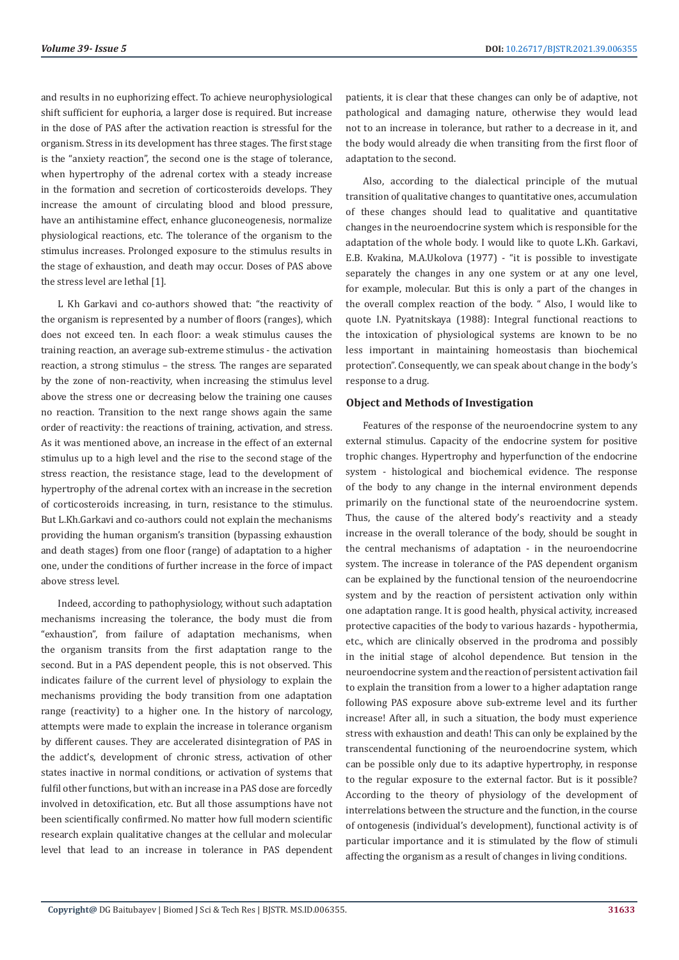and results in no euphorizing effect. To achieve neurophysiological shift sufficient for euphoria, a larger dose is required. But increase in the dose of PAS after the activation reaction is stressful for the organism. Stress in its development has three stages. The first stage is the "anxiety reaction", the second one is the stage of tolerance, when hypertrophy of the adrenal cortex with a steady increase in the formation and secretion of corticosteroids develops. They increase the amount of circulating blood and blood pressure, have an antihistamine effect, enhance gluconeogenesis, normalize physiological reactions, etc. The tolerance of the organism to the stimulus increases. Prolonged exposure to the stimulus results in the stage of exhaustion, and death may occur. Doses of PAS above the stress level are lethal [1].

L Kh Garkavi and co-authors showed that: "the reactivity of the organism is represented by a number of floors (ranges), which does not exceed ten. In each floor: a weak stimulus causes the training reaction, an average sub-extreme stimulus - the activation reaction, a strong stimulus – the stress. The ranges are separated by the zone of non-reactivity, when increasing the stimulus level above the stress one or decreasing below the training one causes no reaction. Transition to the next range shows again the same order of reactivity: the reactions of training, activation, and stress. As it was mentioned above, an increase in the effect of an external stimulus up to a high level and the rise to the second stage of the stress reaction, the resistance stage, lead to the development of hypertrophy of the adrenal cortex with an increase in the secretion of corticosteroids increasing, in turn, resistance to the stimulus. But L.Kh.Garkavi and co-authors could not explain the mechanisms providing the human organism's transition (bypassing exhaustion and death stages) from one floor (range) of adaptation to a higher one, under the conditions of further increase in the force of impact above stress level.

Indeed, according to pathophysiology, without such adaptation mechanisms increasing the tolerance, the body must die from "exhaustion", from failure of adaptation mechanisms, when the organism transits from the first adaptation range to the second. But in a PAS dependent people, this is not observed. This indicates failure of the current level of physiology to explain the mechanisms providing the body transition from one adaptation range (reactivity) to a higher one. In the history of narcology, attempts were made to explain the increase in tolerance organism by different causes. They are accelerated disintegration of PAS in the addict's, development of chronic stress, activation of other states inactive in normal conditions, or activation of systems that fulfil other functions, but with an increase in a PAS dose are forcedly involved in detoxification, etc. But all those assumptions have not been scientifically confirmed. No matter how full modern scientific research explain qualitative changes at the cellular and molecular level that lead to an increase in tolerance in PAS dependent

patients, it is clear that these changes can only be of adaptive, not pathological and damaging nature, otherwise they would lead not to an increase in tolerance, but rather to a decrease in it, and the body would already die when transiting from the first floor of adaptation to the second.

Also, according to the dialectical principle of the mutual transition of qualitative changes to quantitative ones, accumulation of these changes should lead to qualitative and quantitative changes in the neuroendocrine system which is responsible for the adaptation of the whole body. I would like to quote L.Kh. Garkavi, E.B. Kvakina, M.A.Ukolova (1977) - "it is possible to investigate separately the changes in any one system or at any one level, for example, molecular. But this is only a part of the changes in the overall complex reaction of the body. " Also, I would like to quote I.N. Pyatnitskaya (1988): Integral functional reactions to the intoxication of physiological systems are known to be no less important in maintaining homeostasis than biochemical protection". Consequently, we can speak about change in the body's response to a drug.

#### **Object and Methods of Investigation**

Features of the response of the neuroendocrine system to any external stimulus. Capacity of the endocrine system for positive trophic changes. Hypertrophy and hyperfunction of the endocrine system - histological and biochemical evidence. The response of the body to any change in the internal environment depends primarily on the functional state of the neuroendocrine system. Thus, the cause of the altered body's reactivity and a steady increase in the overall tolerance of the body, should be sought in the central mechanisms of adaptation - in the neuroendocrine system. The increase in tolerance of the PAS dependent organism can be explained by the functional tension of the neuroendocrine system and by the reaction of persistent activation only within one adaptation range. It is good health, physical activity, increased protective capacities of the body to various hazards - hypothermia, etc., which are clinically observed in the prodroma and possibly in the initial stage of alcohol dependence. But tension in the neuroendocrine system and the reaction of persistent activation fail to explain the transition from a lower to a higher adaptation range following PAS exposure above sub-extreme level and its further increase! After all, in such a situation, the body must experience stress with exhaustion and death! This can only be explained by the transcendental functioning of the neuroendocrine system, which can be possible only due to its adaptive hypertrophy, in response to the regular exposure to the external factor. But is it possible? According to the theory of physiology of the development of interrelations between the structure and the function, in the course of ontogenesis (individual's development), functional activity is of particular importance and it is stimulated by the flow of stimuli affecting the organism as a result of changes in living conditions.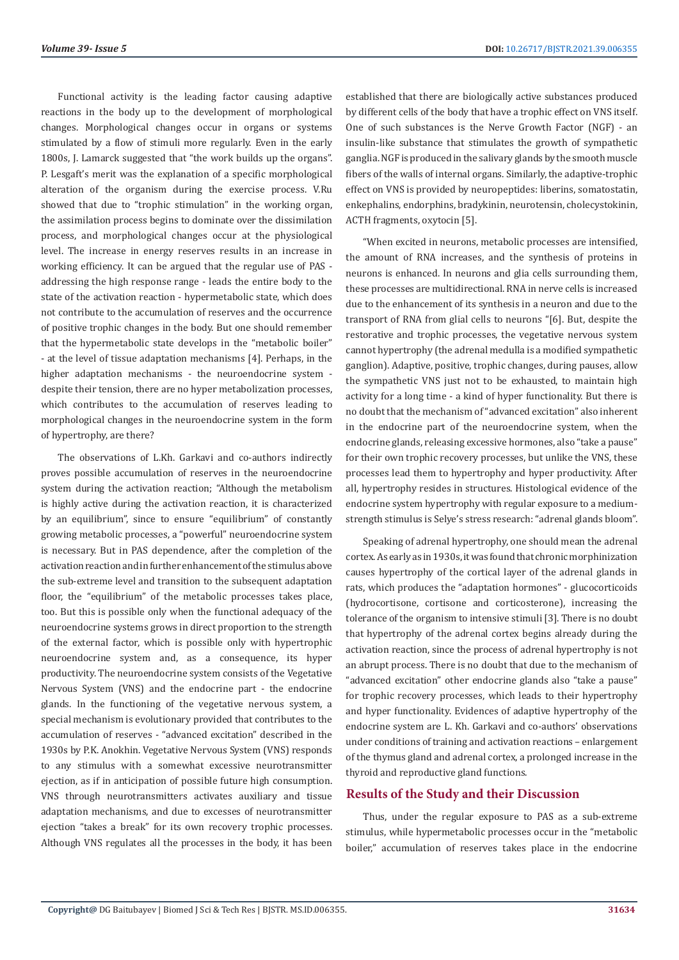Functional activity is the leading factor causing adaptive reactions in the body up to the development of morphological changes. Morphological changes occur in organs or systems stimulated by a flow of stimuli more regularly. Even in the early 1800s, J. Lamarck suggested that "the work builds up the organs". P. Lesgaft's merit was the explanation of a specific morphological alteration of the organism during the exercise process. V.Ru showed that due to "trophic stimulation" in the working organ, the assimilation process begins to dominate over the dissimilation process, and morphological changes occur at the physiological level. The increase in energy reserves results in an increase in working efficiency. It can be argued that the regular use of PAS addressing the high response range - leads the entire body to the state of the activation reaction - hypermetabolic state, which does not contribute to the accumulation of reserves and the occurrence of positive trophic changes in the body. But one should remember that the hypermetabolic state develops in the "metabolic boiler" - at the level of tissue adaptation mechanisms [4]. Perhaps, in the higher adaptation mechanisms - the neuroendocrine system despite their tension, there are no hyper metabolization processes, which contributes to the accumulation of reserves leading to morphological changes in the neuroendocrine system in the form of hypertrophy, are there?

The observations of L.Kh. Garkavi and co-authors indirectly proves possible accumulation of reserves in the neuroendocrine system during the activation reaction; "Although the metabolism is highly active during the activation reaction, it is characterized by an equilibrium", since to ensure "equilibrium" of constantly growing metabolic processes, a "powerful" neuroendocrine system is necessary. But in PAS dependence, after the completion of the activation reaction and in further enhancement of the stimulus above the sub-extreme level and transition to the subsequent adaptation floor, the "equilibrium" of the metabolic processes takes place, too. But this is possible only when the functional adequacy of the neuroendocrine systems grows in direct proportion to the strength of the external factor, which is possible only with hypertrophic neuroendocrine system and, as a consequence, its hyper productivity. The neuroendocrine system consists of the Vegetative Nervous System (VNS) and the endocrine part - the endocrine glands. In the functioning of the vegetative nervous system, a special mechanism is evolutionary provided that contributes to the accumulation of reserves - "advanced excitation" described in the 1930s by P.K. Anokhin. Vegetative Nervous System (VNS) responds to any stimulus with a somewhat excessive neurotransmitter ejection, as if in anticipation of possible future high consumption. VNS through neurotransmitters activates auxiliary and tissue adaptation mechanisms, and due to excesses of neurotransmitter ejection "takes a break" for its own recovery trophic processes. Although VNS regulates all the processes in the body, it has been established that there are biologically active substances produced by different cells of the body that have a trophic effect on VNS itself. One of such substances is the Nerve Growth Factor (NGF) - an insulin-like substance that stimulates the growth of sympathetic ganglia. NGF is produced in the salivary glands by the smooth muscle fibers of the walls of internal organs. Similarly, the adaptive-trophic effect on VNS is provided by neuropeptides: liberins, somatostatin, enkephalins, endorphins, bradykinin, neurotensin, cholecystokinin, ACTH fragments, oxytocin [5].

"When excited in neurons, metabolic processes are intensified, the amount of RNA increases, and the synthesis of proteins in neurons is enhanced. In neurons and glia cells surrounding them, these processes are multidirectional. RNA in nerve cells is increased due to the enhancement of its synthesis in a neuron and due to the transport of RNA from glial cells to neurons "[6]. But, despite the restorative and trophic processes, the vegetative nervous system cannot hypertrophy (the adrenal medulla is a modified sympathetic ganglion). Adaptive, positive, trophic changes, during pauses, allow the sympathetic VNS just not to be exhausted, to maintain high activity for a long time - a kind of hyper functionality. But there is no doubt that the mechanism of "advanced excitation" also inherent in the endocrine part of the neuroendocrine system, when the endocrine glands, releasing excessive hormones, also "take a pause" for their own trophic recovery processes, but unlike the VNS, these processes lead them to hypertrophy and hyper productivity. After all, hypertrophy resides in structures. Histological evidence of the endocrine system hypertrophy with regular exposure to a mediumstrength stimulus is Selye's stress research: "adrenal glands bloom".

Speaking of adrenal hypertrophy, one should mean the adrenal cortex. As early as in 1930s, it was found that chronic morphinization causes hypertrophy of the cortical layer of the adrenal glands in rats, which produces the "adaptation hormones" - glucocorticoids (hydrocortisone, cortisone and corticosterone), increasing the tolerance of the organism to intensive stimuli [3]. There is no doubt that hypertrophy of the adrenal cortex begins already during the activation reaction, since the process of adrenal hypertrophy is not an abrupt process. There is no doubt that due to the mechanism of "advanced excitation" other endocrine glands also "take a pause" for trophic recovery processes, which leads to their hypertrophy and hyper functionality. Evidences of adaptive hypertrophy of the endocrine system are L. Kh. Garkavi and co-authors' observations under conditions of training and activation reactions – enlargement of the thymus gland and adrenal cortex, a prolonged increase in the thyroid and reproductive gland functions.

# **Results of the Study and their Discussion**

Thus, under the regular exposure to PAS as a sub-extreme stimulus, while hypermetabolic processes occur in the "metabolic boiler," accumulation of reserves takes place in the endocrine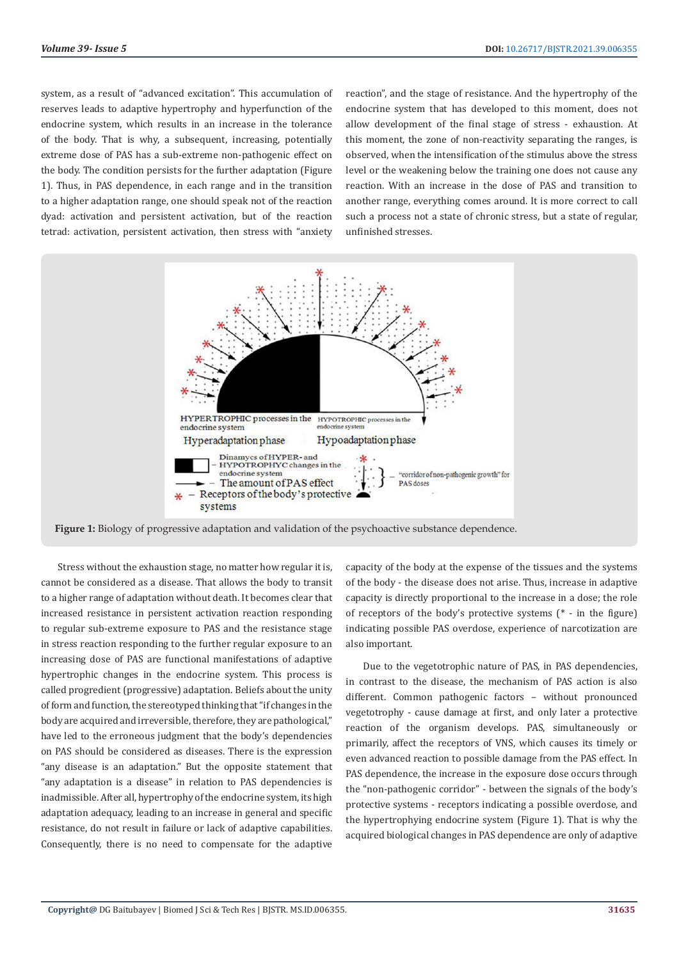system, as a result of "advanced excitation". This accumulation of reserves leads to adaptive hypertrophy and hyperfunction of the endocrine system, which results in an increase in the tolerance of the body. That is why, a subsequent, increasing, potentially extreme dose of PAS has a sub-extreme non-pathogenic effect on the body. The condition persists for the further adaptation (Figure 1). Thus, in PAS dependence, in each range and in the transition to a higher adaptation range, one should speak not of the reaction dyad: activation and persistent activation, but of the reaction tetrad: activation, persistent activation, then stress with "anxiety

reaction", and the stage of resistance. And the hypertrophy of the endocrine system that has developed to this moment, does not allow development of the final stage of stress - exhaustion. At this moment, the zone of non-reactivity separating the ranges, is observed, when the intensification of the stimulus above the stress level or the weakening below the training one does not cause any reaction. With an increase in the dose of PAS and transition to another range, everything comes around. It is more correct to call such a process not a state of chronic stress, but a state of regular, unfinished stresses.



**Figure 1:** Biology of progressive adaptation and validation of the psychoactive substance dependence.

Stress without the exhaustion stage, no matter how regular it is, cannot be considered as a disease. That allows the body to transit to a higher range of adaptation without death. It becomes clear that increased resistance in persistent activation reaction responding to regular sub-extreme exposure to PAS and the resistance stage in stress reaction responding to the further regular exposure to an increasing dose of PAS are functional manifestations of adaptive hypertrophic changes in the endocrine system. This process is called progredient (progressive) adaptation. Beliefs about the unity of form and function, the stereotyped thinking that "if changes in the body are acquired and irreversible, therefore, they are pathological," have led to the erroneous judgment that the body's dependencies on PAS should be considered as diseases. There is the expression "any disease is an adaptation." But the opposite statement that "any adaptation is a disease" in relation to PAS dependencies is inadmissible. After all, hypertrophy of the endocrine system, its high adaptation adequacy, leading to an increase in general and specific resistance, do not result in failure or lack of adaptive capabilities. Consequently, there is no need to compensate for the adaptive

capacity of the body at the expense of the tissues and the systems of the body - the disease does not arise. Thus, increase in adaptive capacity is directly proportional to the increase in a dose; the role of receptors of the body's protective systems (\* - in the figure) indicating possible PAS overdose, experience of narcotization are also important.

Due to the vegetotrophic nature of PAS, in PAS dependencies, in contrast to the disease, the mechanism of PAS action is also different. Common pathogenic factors – without pronounced vegetotrophy - cause damage at first, and only later a protective reaction of the organism develops. PAS, simultaneously or primarily, affect the receptors of VNS, which causes its timely or even advanced reaction to possible damage from the PAS effect. In PAS dependence, the increase in the exposure dose occurs through the "non-pathogenic corridor" - between the signals of the body's protective systems - receptors indicating a possible overdose, and the hypertrophying endocrine system (Figure 1). That is why the acquired biological changes in PAS dependence are only of adaptive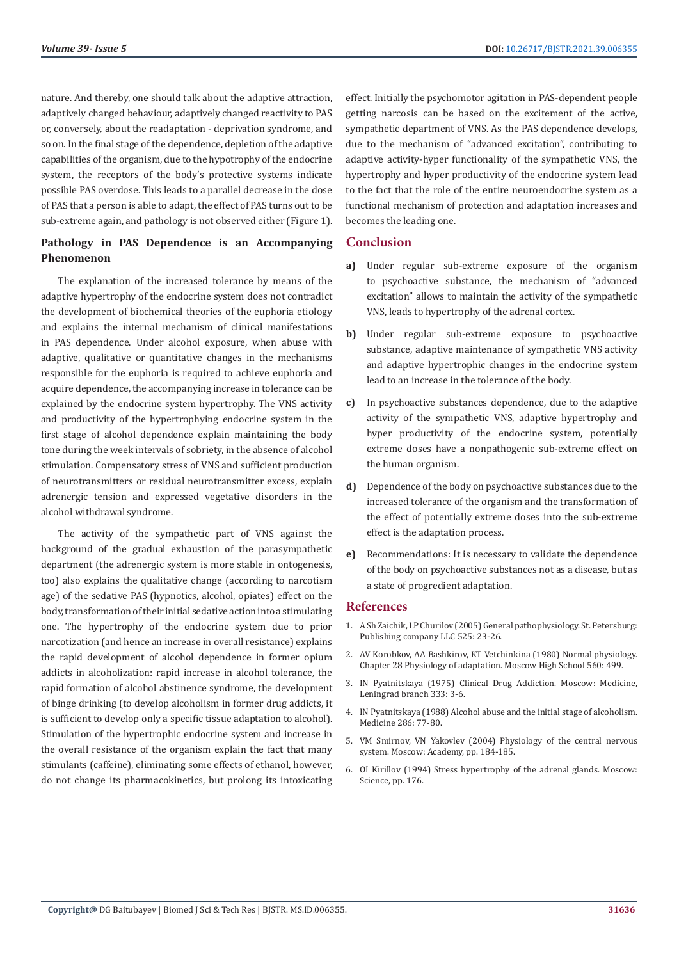nature. And thereby, one should talk about the adaptive attraction, adaptively changed behaviour, adaptively changed reactivity to PAS or, conversely, about the readaptation - deprivation syndrome, and so on. In the final stage of the dependence, depletion of the adaptive capabilities of the organism, due to the hypotrophy of the endocrine system, the receptors of the body's protective systems indicate possible PAS overdose. This leads to a parallel decrease in the dose of PAS that a person is able to adapt, the effect of PAS turns out to be sub-extreme again, and pathology is not observed either (Figure 1).

# **Pathology in PAS Dependence is an Accompanying Phenomenon**

The explanation of the increased tolerance by means of the adaptive hypertrophy of the endocrine system does not contradict the development of biochemical theories of the euphoria etiology and explains the internal mechanism of clinical manifestations in PAS dependence. Under alcohol exposure, when abuse with adaptive, qualitative or quantitative changes in the mechanisms responsible for the euphoria is required to achieve euphoria and acquire dependence, the accompanying increase in tolerance can be explained by the endocrine system hypertrophy. The VNS activity and productivity of the hypertrophying endocrine system in the first stage of alcohol dependence explain maintaining the body tone during the week intervals of sobriety, in the absence of alcohol stimulation. Compensatory stress of VNS and sufficient production of neurotransmitters or residual neurotransmitter excess, explain adrenergic tension and expressed vegetative disorders in the alcohol withdrawal syndrome.

The activity of the sympathetic part of VNS against the background of the gradual exhaustion of the parasympathetic department (the adrenergic system is more stable in ontogenesis, too) also explains the qualitative change (according to narcotism age) of the sedative PAS (hypnotics, alcohol, opiates) effect on the body, transformation of their initial sedative action into a stimulating one. The hypertrophy of the endocrine system due to prior narcotization (and hence an increase in overall resistance) explains the rapid development of alcohol dependence in former opium addicts in alcoholization: rapid increase in alcohol tolerance, the rapid formation of alcohol abstinence syndrome, the development of binge drinking (to develop alcoholism in former drug addicts, it is sufficient to develop only a specific tissue adaptation to alcohol). Stimulation of the hypertrophic endocrine system and increase in the overall resistance of the organism explain the fact that many stimulants (caffeine), eliminating some effects of ethanol, however, do not change its pharmacokinetics, but prolong its intoxicating effect. Initially the psychomotor agitation in PAS-dependent people getting narcosis can be based on the excitement of the active, sympathetic department of VNS. As the PAS dependence develops, due to the mechanism of "advanced excitation", contributing to adaptive activity-hyper functionality of the sympathetic VNS, the hypertrophy and hyper productivity of the endocrine system lead to the fact that the role of the entire neuroendocrine system as a functional mechanism of protection and adaptation increases and becomes the leading one.

## **Conclusion**

- **a)** Under regular sub-extreme exposure of the organism to psychoactive substance, the mechanism of "advanced excitation" allows to maintain the activity of the sympathetic VNS, leads to hypertrophy of the adrenal cortex.
- **b)** Under regular sub-extreme exposure to psychoactive substance, adaptive maintenance of sympathetic VNS activity and adaptive hypertrophic changes in the endocrine system lead to an increase in the tolerance of the body.
- **c)** In psychoactive substances dependence, due to the adaptive activity of the sympathetic VNS, adaptive hypertrophy and hyper productivity of the endocrine system, potentially extreme doses have a nonpathogenic sub-extreme effect on the human organism.
- **d)** Dependence of the body on psychoactive substances due to the increased tolerance of the organism and the transformation of the effect of potentially extreme doses into the sub-extreme effect is the adaptation process.
- **e)** Recommendations: It is necessary to validate the dependence of the body on psychoactive substances not as a disease, but as a state of progredient adaptation.

### **References**

- 1. A Sh Zaichik, LP Churilov (2005) General pathophysiology. St. Petersburg: Publishing company LLC 525: 23-26.
- 2. AV Korobkov, AA Bashkirov, KT Vetchinkina (1980) Normal physiology. Chapter 28 Physiology of adaptation. Moscow High School 560: 499.
- 3. IN Pyatnitskaya (1975) Clinical Drug Addiction. Moscow: Medicine, Leningrad branch 333: 3-6.
- 4. IN Pyatnitskaya (1988) Alcohol abuse and the initial stage of alcoholism. Medicine 286: 77-80.
- 5. VM Smirnov, VN Yakovlev (2004) Physiology of the central nervous system. Moscow: Academy, pp. 184-185.
- 6. OI Kirillov (1994) Stress hypertrophy of the adrenal glands. Moscow: Science, pp. 176.